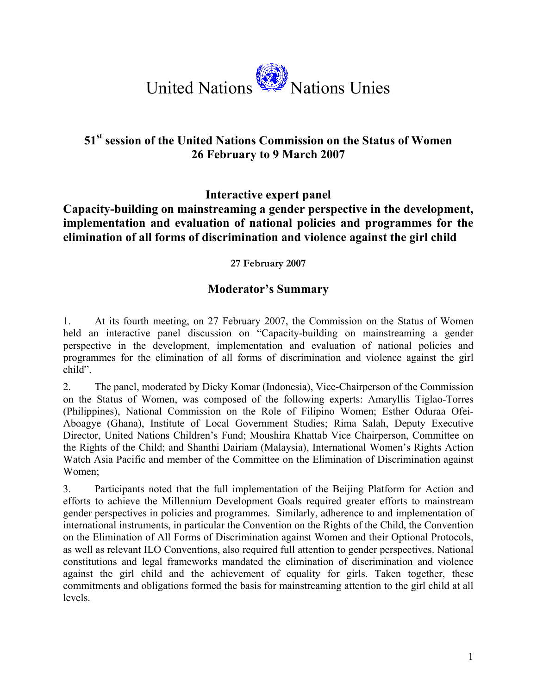

## **51st session of the United Nations Commission on the Status of Women 26 February to 9 March 2007**

**Interactive expert panel** 

## **Capacity-building on mainstreaming a gender perspective in the development, implementation and evaluation of national policies and programmes for the elimination of all forms of discrimination and violence against the girl child**

**27 February 2007** 

## **Moderator's Summary**

1. At its fourth meeting, on 27 February 2007, the Commission on the Status of Women held an interactive panel discussion on "Capacity-building on mainstreaming a gender perspective in the development, implementation and evaluation of national policies and programmes for the elimination of all forms of discrimination and violence against the girl child".

2. The panel, moderated by Dicky Komar (Indonesia), Vice-Chairperson of the Commission on the Status of Women, was composed of the following experts: Amaryllis Tiglao-Torres (Philippines), National Commission on the Role of Filipino Women; Esther Oduraa Ofei-Aboagye (Ghana), Institute of Local Government Studies; Rima Salah, Deputy Executive Director, United Nations Children's Fund; Moushira Khattab Vice Chairperson, Committee on the Rights of the Child; and Shanthi Dairiam (Malaysia), International Women's Rights Action Watch Asia Pacific and member of the Committee on the Elimination of Discrimination against Women;

3. Participants noted that the full implementation of the Beijing Platform for Action and efforts to achieve the Millennium Development Goals required greater efforts to mainstream gender perspectives in policies and programmes. Similarly, adherence to and implementation of international instruments, in particular the Convention on the Rights of the Child, the Convention on the Elimination of All Forms of Discrimination against Women and their Optional Protocols, as well as relevant ILO Conventions, also required full attention to gender perspectives. National constitutions and legal frameworks mandated the elimination of discrimination and violence against the girl child and the achievement of equality for girls. Taken together, these commitments and obligations formed the basis for mainstreaming attention to the girl child at all levels.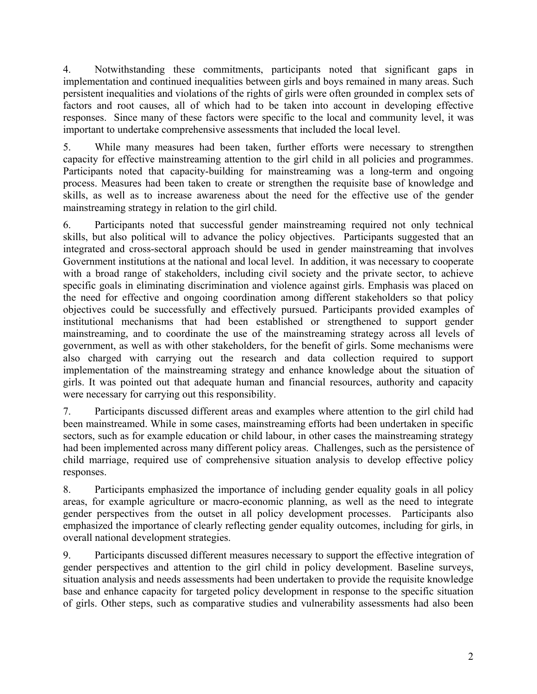4. Notwithstanding these commitments, participants noted that significant gaps in implementation and continued inequalities between girls and boys remained in many areas. Such persistent inequalities and violations of the rights of girls were often grounded in complex sets of factors and root causes, all of which had to be taken into account in developing effective responses. Since many of these factors were specific to the local and community level, it was important to undertake comprehensive assessments that included the local level.

5. While many measures had been taken, further efforts were necessary to strengthen capacity for effective mainstreaming attention to the girl child in all policies and programmes. Participants noted that capacity-building for mainstreaming was a long-term and ongoing process. Measures had been taken to create or strengthen the requisite base of knowledge and skills, as well as to increase awareness about the need for the effective use of the gender mainstreaming strategy in relation to the girl child.

6. Participants noted that successful gender mainstreaming required not only technical skills, but also political will to advance the policy objectives. Participants suggested that an integrated and cross-sectoral approach should be used in gender mainstreaming that involves Government institutions at the national and local level. In addition, it was necessary to cooperate with a broad range of stakeholders, including civil society and the private sector, to achieve specific goals in eliminating discrimination and violence against girls. Emphasis was placed on the need for effective and ongoing coordination among different stakeholders so that policy objectives could be successfully and effectively pursued. Participants provided examples of institutional mechanisms that had been established or strengthened to support gender mainstreaming, and to coordinate the use of the mainstreaming strategy across all levels of government, as well as with other stakeholders, for the benefit of girls. Some mechanisms were also charged with carrying out the research and data collection required to support implementation of the mainstreaming strategy and enhance knowledge about the situation of girls. It was pointed out that adequate human and financial resources, authority and capacity were necessary for carrying out this responsibility.

7. Participants discussed different areas and examples where attention to the girl child had been mainstreamed. While in some cases, mainstreaming efforts had been undertaken in specific sectors, such as for example education or child labour, in other cases the mainstreaming strategy had been implemented across many different policy areas. Challenges, such as the persistence of child marriage, required use of comprehensive situation analysis to develop effective policy responses.

8. Participants emphasized the importance of including gender equality goals in all policy areas, for example agriculture or macro-economic planning, as well as the need to integrate gender perspectives from the outset in all policy development processes. Participants also emphasized the importance of clearly reflecting gender equality outcomes, including for girls, in overall national development strategies.

9. Participants discussed different measures necessary to support the effective integration of gender perspectives and attention to the girl child in policy development. Baseline surveys, situation analysis and needs assessments had been undertaken to provide the requisite knowledge base and enhance capacity for targeted policy development in response to the specific situation of girls. Other steps, such as comparative studies and vulnerability assessments had also been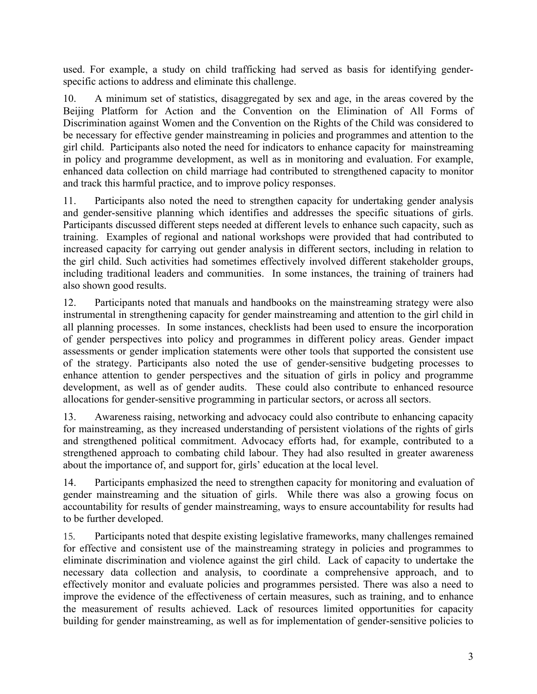used. For example, a study on child trafficking had served as basis for identifying genderspecific actions to address and eliminate this challenge.

10. A minimum set of statistics, disaggregated by sex and age, in the areas covered by the Beijing Platform for Action and the Convention on the Elimination of All Forms of Discrimination against Women and the Convention on the Rights of the Child was considered to be necessary for effective gender mainstreaming in policies and programmes and attention to the girl child. Participants also noted the need for indicators to enhance capacity for mainstreaming in policy and programme development, as well as in monitoring and evaluation. For example, enhanced data collection on child marriage had contributed to strengthened capacity to monitor and track this harmful practice, and to improve policy responses.

11. Participants also noted the need to strengthen capacity for undertaking gender analysis and gender-sensitive planning which identifies and addresses the specific situations of girls. Participants discussed different steps needed at different levels to enhance such capacity, such as training. Examples of regional and national workshops were provided that had contributed to increased capacity for carrying out gender analysis in different sectors, including in relation to the girl child. Such activities had sometimes effectively involved different stakeholder groups, including traditional leaders and communities. In some instances, the training of trainers had also shown good results.

12. Participants noted that manuals and handbooks on the mainstreaming strategy were also instrumental in strengthening capacity for gender mainstreaming and attention to the girl child in all planning processes. In some instances, checklists had been used to ensure the incorporation of gender perspectives into policy and programmes in different policy areas. Gender impact assessments or gender implication statements were other tools that supported the consistent use of the strategy. Participants also noted the use of gender-sensitive budgeting processes to enhance attention to gender perspectives and the situation of girls in policy and programme development, as well as of gender audits. These could also contribute to enhanced resource allocations for gender-sensitive programming in particular sectors, or across all sectors.

13. Awareness raising, networking and advocacy could also contribute to enhancing capacity for mainstreaming, as they increased understanding of persistent violations of the rights of girls and strengthened political commitment. Advocacy efforts had, for example, contributed to a strengthened approach to combating child labour. They had also resulted in greater awareness about the importance of, and support for, girls' education at the local level.

14. Participants emphasized the need to strengthen capacity for monitoring and evaluation of gender mainstreaming and the situation of girls. While there was also a growing focus on accountability for results of gender mainstreaming, ways to ensure accountability for results had to be further developed.

15. Participants noted that despite existing legislative frameworks, many challenges remained for effective and consistent use of the mainstreaming strategy in policies and programmes to eliminate discrimination and violence against the girl child. Lack of capacity to undertake the necessary data collection and analysis, to coordinate a comprehensive approach, and to effectively monitor and evaluate policies and programmes persisted. There was also a need to improve the evidence of the effectiveness of certain measures, such as training, and to enhance the measurement of results achieved. Lack of resources limited opportunities for capacity building for gender mainstreaming, as well as for implementation of gender-sensitive policies to